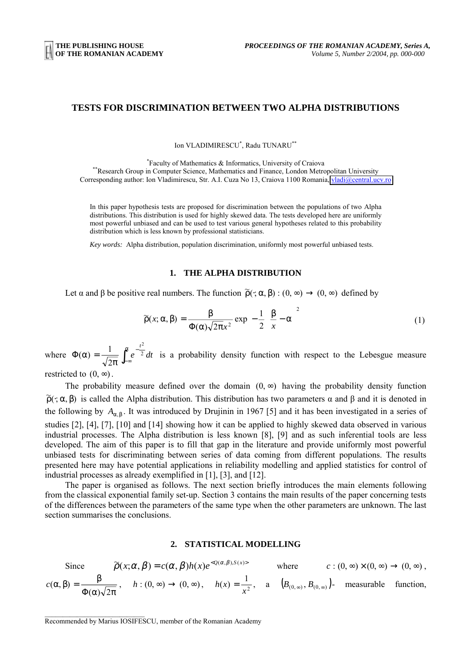## **TESTS FOR DISCRIMINATION BETWEEN TWO ALPHA DISTRIBUTIONS**

Ion VLADIMIRESCU\* , Radu TUNARU\*\*

\*Faculty of Mathematics & Informatics, University of Craiova \*\*Research Group in Computer Science, Mathematics and Finance, London Metropolitan University Corresponding author: Ion Vladimirescu, Str. A.I. Cuza No 13, Craiova 1100 Romania, [vladi@central.ucv.ro](mailto:vladi@central.ucv.ro)

In this paper hypothesis tests are proposed for discrimination between the populations of two Alpha distributions. This distribution is used for highly skewed data. The tests developed here are uniformly most powerful unbiased and can be used to test various general hypotheses related to this probability distribution which is less known by professional statisticians.

*Key words:* Alpha distribution, population discrimination, uniformly most powerful unbiased tests.

# **1. THE ALPHA DISTRIBUTION**

Let  $\alpha$  and  $\beta$  be positive real numbers. The function  $\tilde{\rho}(\cdot; \alpha, \beta) : (0, \infty) \to (0, \infty)$  defined by

$$
\widetilde{\rho}(x;\alpha,\beta) = \frac{\beta}{\Phi(\alpha)\sqrt{2\pi}x^2} \exp\left[-\frac{1}{2}\left(\frac{\beta}{x}-\alpha\right)^2\right]
$$
(1)

where  $\Phi(\alpha) = \frac{1}{\sqrt{2\pi}} \int_{-\infty}^{\infty} e^{-z} dt$ *t*  $\int_{-\infty}^{\alpha}$ − ∞ − π  $\Phi(\alpha) = \frac{1}{\sqrt{2\pi}} \left| e^{-2} \right|$ 2 2  $\alpha = \frac{1}{\sqrt{\alpha}} \int_0^{\alpha} e^{-\frac{t^2}{2}} dt$  is a probability density function with respect to the Lebesgue measure

restricted to  $(0, \infty)$ .

The probability measure defined over the domain  $(0, \infty)$  having the probability density function  $\tilde{\rho}(\cdot;\alpha,\beta)$  is called the Alpha distribution. This distribution has two parameters  $\alpha$  and  $\beta$  and it is denoted in the following by  $A_{\alpha, \beta}$ . It was introduced by Drujinin in 1967 [5] and it has been investigated in a series of studies [2], [4], [7], [10] and [14] showing how it can be applied to highly skewed data observed in various industrial processes. The Alpha distribution is less known [8], [9] and as such inferential tools are less developed. The aim of this paper is to fill that gap in the literature and provide uniformly most powerful unbiased tests for discriminating between series of data coming from different populations. The results presented here may have potential applications in reliability modelling and applied statistics for control of industrial processes as already exemplified in [1], [3], and [12].

The paper is organised as follows. The next section briefly introduces the main elements following from the classical exponential family set-up. Section 3 contains the main results of the paper concerning tests of the differences between the parameters of the same type when the other parameters are unknown. The last section summarises the conclusions.

## **2. STATISTICAL MODELLING**

Since 
$$
\widetilde{\rho}(x;\alpha,\beta) = c(\alpha,\beta)h(x)e^{<\varrho(\alpha,\beta),S(x)>}
$$
 where  $c:(0,\infty)\times(0,\infty) \to (0,\infty)$ ,  
\n
$$
c(\alpha,\beta) = \frac{\beta}{\Phi(\alpha)\sqrt{2\pi}}, \quad h:(0,\infty) \to (0,\infty), \quad h(x) = \frac{1}{x^2}, \quad a \quad (B_{(0,\infty)},B_{(0,\infty)})
$$
 measurable function,

Recommended by Marius IOSIFESCU, member of the Romanian Academy

 $\mathcal{L}_\text{max}$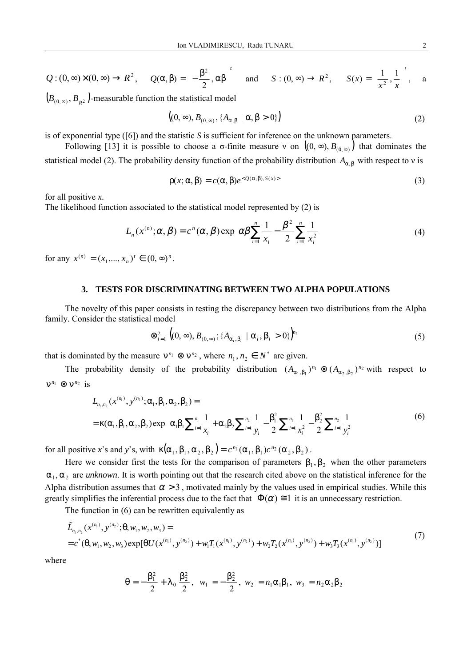$$
Q: (0, \infty) \times (0, \infty) \to R^2, \qquad Q(\alpha, \beta) = \left(-\frac{\beta^2}{2}, \alpha\beta\right)^t \quad \text{and} \qquad S: (0, \infty) \to R^2, \qquad S(x) = \left(\frac{1}{x^2}, \frac{1}{x}\right)^t, \qquad a
$$
  
(*R R*) -measurable function the statistical model

 $(B_{(0, \infty)}, B_{R^2})$ -measurable function the statistical model

$$
((0, \infty), B_{(0, \infty)}, \{A_{\alpha, \beta} \mid \alpha, \beta > 0\})
$$
\n<sup>(2)</sup>

is of exponential type ([6]) and the statistic *S* is sufficient for inference on the unknown parameters.

Following [13] it is possible to choose a  $\sigma$ -finite measure v on  $((0, \infty), B_{(0, \infty)})$  that dominates the statistical model (2). The probability density function of the probability distribution  $A_{\alpha, \beta}$  with respect to v is

$$
\rho(x; \alpha, \beta) = c(\alpha, \beta)e^{Q(\alpha, \beta), S(x)>}\tag{3}
$$

for all positive *x*.

The likelihood function associated to the statistical model represented by (2) is

$$
L_n(x^{(n)};\alpha,\beta) = c^n(\alpha,\beta) \exp\left[\alpha\beta \sum_{i=1}^n \frac{1}{x_i} - \frac{\beta^2}{2} \sum_{i=1}^n \frac{1}{x_i^2}\right]
$$
(4)

for any  $x^{(n)} = (x_1, ..., x_n)^t \in (0, \infty)^n$ .

### **3. TESTS FOR DISCRIMINATING BETWEEN TWO ALPHA POPULATIONS**

The novelty of this paper consists in testing the discrepancy between two distributions from the Alpha family. Consider the statistical model

$$
\otimes_{i=1}^2 \left( (0, \infty), B_{(0, \infty)}; \{ A_{\alpha_i, \beta_i} \mid \alpha_i, \beta_i > 0 \} \right)^{n_i}
$$
 (5)

that is dominated by the measure  $v^{n_1} \otimes v^{n_2}$ , where  $n_1, n_2 \in N^*$  are given.

The probability density of the probability distribution  $(A_{\alpha_1,\beta_1})^{n_1} \otimes (A_{\alpha_2,\beta_2})^{n_2}$  with respect to  $v^{n_1} \otimes v^{n_2}$  is

$$
L_{n_1,n_2}(x^{(n_1)},y^{(n_2)};\alpha_1,\beta_1,\alpha_2,\beta_2) =
$$
  
=  $\kappa(\alpha_1,\beta_1,\alpha_2,\beta_2) \exp\left[\alpha_1\beta_1 \sum_{i=1}^{n_1} \frac{1}{x_i} + \alpha_2\beta_2 \sum_{i=1}^{n_2} \frac{1}{y_i} - \frac{\beta_1^2}{2} \sum_{i=1}^{n_1} \frac{1}{x_i^2} - \frac{\beta_2^2}{2} \sum_{i=1}^{n_2} \frac{1}{y_i^2}\right]$  (6)

for all positive *x*'s and *y*'s, with  $\kappa(\alpha_1, \beta_1, \alpha_2, \beta_2) = c^{n_1}(\alpha_1, \beta_1) c^{n_2}(\alpha_2, \beta_2)$ .

Here we consider first the tests for the comparison of parameters  $\beta_1, \beta_2$  when the other parameters  $\alpha_1, \alpha_2$  are *unknown*. It is worth pointing out that the research cited above on the statistical inference for the Alpha distribution assumes that  $\alpha > 3$ , motivated mainly by the values used in empirical studies. While this greatly simplifies the inferential process due to the fact that  $\Phi(\alpha) \equiv 1$  it is an unnecessary restriction.

The function in (6) can be rewritten equivalently as

$$
\tilde{L}_{n_1,n_2}(x^{(n_1)},y^{(n_2)};\theta,w_1,w_2,w_3) == c^*(\theta,w_1,w_2,w_3) \exp[\theta U(x^{(n_1)},y^{(n_2)}) + w_1 T_1(x^{(n_1)},y^{(n_2)}) + w_2 T_2(x^{(n_1)},y^{(n_2)}) + w_3 T_3(x^{(n_1)},y^{(n_2)})]
$$
\n(7)

where

$$
\theta = -\frac{\beta_1^2}{2} + \lambda_0 \frac{\beta_2^2}{2}, \ \ w_1 = -\frac{\beta_2^2}{2}, \ \ w_2 = n_1 \alpha_1 \beta_1, \ \ w_3 = n_2 \alpha_2 \beta_2
$$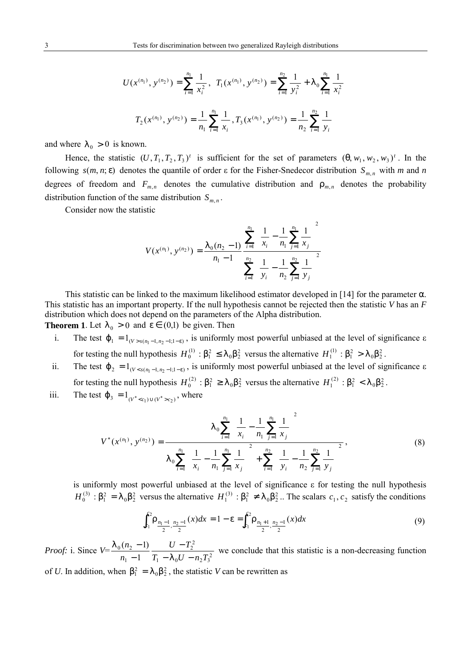$$
U(x^{(n_1)}, y^{(n_2)}) = \sum_{i=1}^{n_1} \frac{1}{x_i^2}, T_1(x^{(n_1)}, y^{(n_2)}) = \sum_{i=1}^{n_2} \frac{1}{y_i^2} + \lambda_0 \sum_{i=1}^{n_1} \frac{1}{x_i^2}
$$

$$
T_2(x^{(n_1)}, y^{(n_2)}) = \frac{1}{n_1} \sum_{i=1}^{n_1} \frac{1}{x_i}, T_3(x^{(n_1)}, y^{(n_2)}) = \frac{1}{n_2} \sum_{i=1}^{n_2} \frac{1}{y_i}
$$

and where  $\lambda_0 > 0$  is known.

Hence, the statistic  $(U, T_1, T_2, T_3)^t$  is sufficient for the set of parameters  $(\theta, w_1, w_2, w_3)^t$ . In the following  $s(m, n; \varepsilon)$  denotes the quantile of order  $\varepsilon$  for the Fisher-Snedecor distribution  $S_{m,n}$  with *m* and *n* degrees of freedom and  $F_{m,n}$  denotes the cumulative distribution and  $\rho_{m,n}$  denotes the probability distribution function of the same distribution  $S_{m,n}$ .

Consider now the statistic

$$
V(x^{(n_1)}, y^{(n_2)}) = \frac{\lambda_0(n_2 - 1)}{n_1 - 1} \frac{\sum_{i=1}^{n_1} \left(\frac{1}{x_i} - \frac{1}{n_1} \sum_{j=1}^{n_1} \frac{1}{x_j}\right)^2}{\sum_{i=1}^{n_2} \left(\frac{1}{y_i} - \frac{1}{n_2} \sum_{j=1}^{n_2} \frac{1}{y_j}\right)^2}
$$

This statistic can be linked to the maximum likelihood estimator developed in [14] for the parameter  $\alpha$ . This statistic has an important property. If the null hypothesis cannot be rejected then the statistic *V* has an *F* distribution which does not depend on the parameters of the Alpha distribution.

**Theorem 1**. Let  $\lambda_0 > 0$  and  $\varepsilon \in (0,1)$  be given. Then

- i. The test  $\varphi_1 = 1_{(V > s(n_1 1, n_2 1, 1 \varepsilon)}$ , is uniformly most powerful unbiased at the level of significance  $\varepsilon$ for testing the null hypothesis  $H_0^{(1)}$ :  $\beta_1^2 \le \lambda_0 \beta_2^2$  versus the alternative  $H_1^{(1)}$ :  $\beta_1^2 > \lambda_0 \beta_2^2$ .
- ii. The test  $\varphi_2 = 1_{(V < s(n_1-1, n_2-1; 1-\epsilon))}$ , is uniformly most powerful unbiased at the level of significance  $\epsilon$ for testing the null hypothesis  $H_0^{(2)}$ :  $\beta_1^2 \ge \lambda_0 \beta_2^2$  versus the alternative  $H_1^{(2)}$ :  $\beta_1^2 < \lambda_0 \beta_2^2$ .

iii. The test  $\varphi_3 = 1_{(V^* < c_1) \cup (V^* > c_2)}$ , where

$$
V^*(x^{(n_1)}, y^{(n_2)}) = \frac{\lambda_0 \sum_{i=1}^{n_1} \left( \frac{1}{x_i} - \frac{1}{n_1} \sum_{j=1}^{n_1} \frac{1}{x_j} \right)^2}{\lambda_0 \sum_{i=1}^{n_1} \left( \frac{1}{x_i} - \frac{1}{n_1} \sum_{j=1}^{n_1} \frac{1}{x_j} \right)^2 + \sum_{i=1}^{n_2} \left( \frac{1}{y_i} - \frac{1}{n_2} \sum_{j=1}^{n_2} \frac{1}{y_j} \right)^2},
$$
\n(8)

is uniformly most powerful unbiased at the level of significance ε for testing the null hypothesis  $H_0^{(3)}$ :  $\beta_1^2 = \lambda_0 \beta_2^2$  versus the alternative  $H_1^{(3)}$ :  $\beta_1^2 \neq \lambda_0 \beta_2^2$ .. The scalars  $c_1, c_2$  satisfy the conditions

$$
\int_{c_1}^{c_2} \rho_{\frac{n_1-1}{2}, \frac{n_2-1}{2}}(x) dx = 1 - \varepsilon = \int_{c_1}^{c_2} \rho_{\frac{n_1+1}{2}, \frac{n_2-1}{2}}(x) dx \tag{9}
$$

*Proof:* i. Since  $V = \frac{n_0 (n_2 - 1)}{n_1 - 1} \frac{C}{T_1 - \lambda_0 U - n_2 T_3^2}$  $\frac{1}{2}$ 1  $0^{11}2$ 1  $(n_2 - 1)$  $T_1 - \lambda_0 U - n_2 T$  $U - T$ *n n*  $\lambda_{0}U$   $-$ − −  $\frac{\lambda_0 (n_2 - 1)}{\lambda_0 (n_2 - 1)}$   $\frac{U - T_2^2}{\lambda_0 (n_2 - 1)}$  we conclude that this statistic is a non-decreasing function

of *U*. In addition, when  $\beta_1^2 = \lambda_0 \beta_2^2$ , the statistic *V* can be rewritten as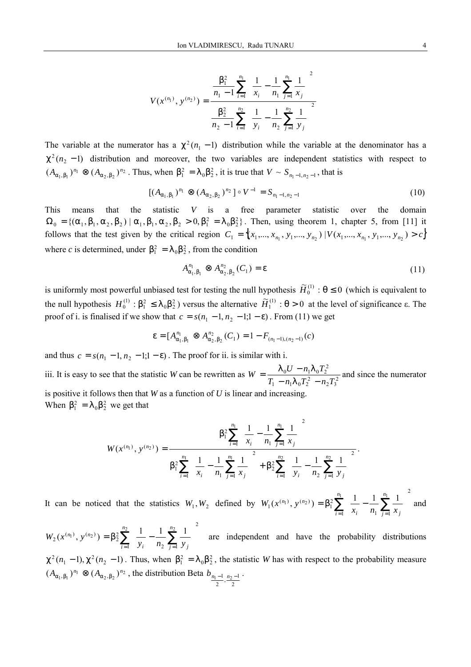$$
V(x^{(n_1)}, y^{(n_2)}) = \frac{\frac{\beta_1^2}{n_1 - 1} \sum_{i=1}^{n_1} \left( \frac{1}{x_i} - \frac{1}{n_1} \sum_{j=1}^{n_1} \frac{1}{x_j} \right)^2}{\frac{\beta_2^2}{n_2 - 1} \sum_{i=1}^{n_2} \left( \frac{1}{y_i} - \frac{1}{n_2} \sum_{j=1}^{n_2} \frac{1}{y_j} \right)^2}
$$

The variable at the numerator has a  $\chi^2(n_1 - 1)$  distribution while the variable at the denominator has a  $\chi^2(n_2 - 1)$  distribution and moreover, the two variables are independent statistics with respect to  $(A_{\alpha_1,\beta_1})^{n_1} \otimes (A_{\alpha_2,\beta_2})^{n_2}$ . Thus, when  $\beta_1^2 = \lambda_0 \beta_2^2$ , it is true that  $V \sim S_{n_1-1,n_2-1}$ , that is

$$
[(A_{\alpha_1,\beta_1})^{n_1} \otimes (A_{\alpha_2,\beta_2})^{n_2}] \circ V^{-1} = S_{n_1-1,n_2-1}
$$
\n(10)

This means that the statistic *V* is a free parameter statistic over the domain  $\Omega_0 = \{(\alpha_1, \beta_1, \alpha_2, \beta_2) | \alpha_1, \beta_1, \alpha_2, \beta_2 > 0, \beta_1^2 = \lambda_0 \beta_2^2\}$ . Then, using theorem 1, chapter 5, from [11] it follows that the test given by the critical region  $C_1 = \{(x_1, ..., x_{n_1}, y_1, ..., y_{n_2}) | V(x_1, ..., x_{n_1}, y_1, ..., y_{n_2}) > c\}$ where *c* is determined, under  $\beta_1^2 = \lambda_0 \beta_2^2$ , from the condition

$$
A^{n_1}_{\alpha_1,\beta_1} \otimes A^{n_2}_{\alpha_2,\beta_2}(C_1) = \varepsilon
$$
\n(11)

is uniformly most powerful unbiased test for testing the null hypothesis  $\widetilde{H}^{(1)}_{0}$ :  $\theta \le 0$  (which is equivalent to the null hypothesis  $H_0^{(1)}$ :  $\beta_1^2 \le \lambda_0 \beta_2^2$ ) versus the alternative  $\widetilde{H}_1^{(1)}$ :  $\theta > 0$  at the level of significance  $\varepsilon$ . The proof of i. is finalised if we show that  $c = s(n_1 - 1, n_2 - 1, 1 - \varepsilon)$ . From (11) we get

$$
\varepsilon = [A_{\alpha_1,\beta_1}^{n_1} \otimes A_{\alpha_2,\beta_2}^{n_2}(C_1) = 1 - F_{(n_1-1),(n_2-1)}(c)
$$

and thus  $c = s(n_1 - 1, n_2 - 1, 1 - \varepsilon)$ . The proof for ii. is similar with i.

iii. It is easy to see that the statistic *W* can be rewritten as  $W = \frac{R_0 C_0 R_1 R_0 T_2}{T_1 - R_1 \lambda_0 T_2^2 - R_2 T_3^2}$  $_{0}U-n_{1}\lambda _{0}T_{2}^{2}$  $T_1 - n_1 \lambda_0 T_2^2 - n_2 T$  $W = \frac{\lambda_0 U - n_1 \lambda_0 T_2^2}{T_1 - n_1 \lambda_0 T_2^2 - n_2 T_3^2}$  and since the numerator is positive it follows then that *W* as a function of *U* is linear and increasing. When  $\beta_1^2 = \lambda_0 \beta_2^2$  we get that

$$
W(x^{(n_1)}, y^{(n_2)}) = \frac{\beta_1^2 \sum_{i=1}^{n_1} \left( \frac{1}{x_i} - \frac{1}{n_1} \sum_{j=1}^{n_1} \frac{1}{x_j} \right)^2}{\beta_1^2 \sum_{i=1}^{n_1} \left( \frac{1}{x_i} - \frac{1}{n_1} \sum_{j=1}^{n_1} \frac{1}{x_j} \right)^2 + \beta_2^2 \sum_{i=1}^{n_2} \left( \frac{1}{y_i} - \frac{1}{n_2} \sum_{j=1}^{n_2} \frac{1}{y_j} \right)^2}.
$$

It can be noticed that the statistics  $W_1, W_2$  defined by  $W_1(x^{(n_1)}, y^{(n_2)}) = \beta_1^2 \sum_{i=1}^{\infty} \left[ \frac{1}{x_i} - \frac{1}{n_1} \sum_{j=1}^{\infty} \frac{1}{x_j} \right]$  $\overline{1}$ I I l  $(p_1, y^{(n_2)}) = \beta_1^2 \sum_{n_1}^{n_1} \left( \frac{1}{1} - \frac{1}{n_1} \right)$ 1  $1 \quad j=1$  $\chi_1(x^{(n_1)}, y^{(n_2)}) = \beta_1^2 \sum_{n_1}^{n_1} \left( \frac{1}{1} - \frac{1}{1} \sum_{n_2}^{n_1} \frac{1}{n_2} \right)$ *i i*  $\binom{n_1}{j=1}$   $\lambda_j$  $n_1$  ,  $(n_2)$  $x_i$   $n_1 \nightharpoonup_{i=1}^{\infty} x$  $W_1(x^{(n_1)}, y^{(n_2)}) = \beta_1^2 \sum \left| \frac{1}{n_1} - \frac{1}{n_2} \right|$  and

 $\sum_{i=1}^{n} \left( \frac{1}{y_i} - \frac{1}{n_2} \sum_{j=1}^{n} \frac{1}{y_j} \right)$  $\overline{1}$  $\overline{\phantom{a}}$ I I ∖  $(y^{(n_1)}, y^{(n_2)}) = \beta_2^2 \sum_{n_1}^{n_2} \left( \frac{1}{n_1} - \frac{1}{n_2} \sum_{n_2}^{n_2} \right)$ 1 2 2  $j=1$  $\sum_{i=2}^{n_2} (x^{(n_1)}, y^{(n_2)}) = \beta_2^2 \sum_{i=1}^{n_2} \left( \frac{1}{1} - \frac{1}{1} \sum_{i=1}^{n_2} \frac{1}{1} \right)$ *i n i*  $\binom{n_2}{j=1}$  *j j*  $n_1$  ,  $(n_2)$  $y_i$  *n*<sub>2</sub>  $\underset{i=1}{\leftarrow}$  *y*  $W_2(x^{(n_1)}, y^{(n_2)}) = \beta_2^2$   $\sum_{n=1}^{\infty}$   $\sum_{n=1}^{\infty}$  are independent and have the probability distributions  $\chi^2(n_1-1), \chi^2(n_2-1)$ . Thus, when  $\beta_1^2 = \lambda_0 \beta_2^2$ , the statistic *W* has with respect to the probability measure  $(A_{\alpha_1,\beta_1})^{n_1} \otimes (A_{\alpha_2,\beta_2})^{n_2}$ , the distribution Beta  $b_{\frac{n_1-1}{2},\frac{n_2-1}{2}}$ .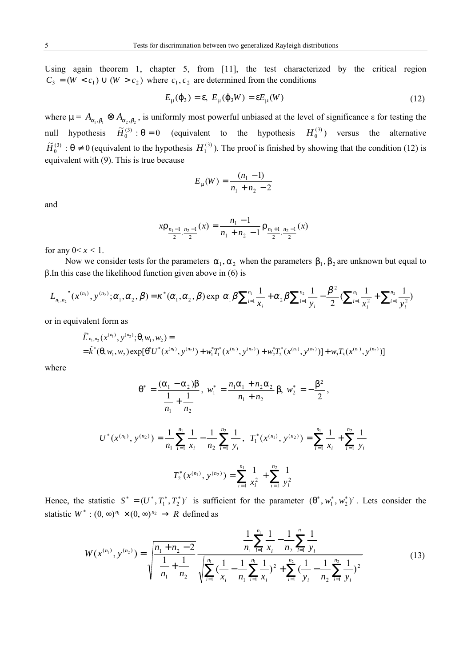Using again theorem 1, chapter 5, from [11], the test characterized by the critical region  $C_3 = (W < c_1) \cup (W > c_2)$  where  $c_1, c_2$  are determined from the conditions

$$
E_{\mu}(\varphi_3) = \varepsilon, \ E_{\mu}(\varphi_3 W) = \varepsilon E_{\mu}(W) \tag{12}
$$

where  $\mu = A_{\alpha_1, \beta_1} \otimes A_{\alpha_2, \beta_2}$ , is uniformly most powerful unbiased at the level of significance  $\varepsilon$  for testing the null hypothesis  $\widetilde{H}_0^{(3)}$ :  $\theta = 0$  (equivalent to the hypothesis  $H_0^{(3)}$ ) versus the alternative  $\widetilde{H}_0^{(3)}$ :  $\theta \neq 0$  (equivalent to the hypothesis  $H_1^{(3)}$ ). The proof is finished by showing that the condition (12) is equivalent with (9). This is true because

$$
E_{\mu}(W) = \frac{(n_1 - 1)}{n_1 + n_2 - 2}
$$

and

$$
x\rho_{\frac{n_1-1}{2},\frac{n_2-1}{2}}(x) = \frac{n_1-1}{n_1+n_2-1}\rho_{\frac{n_1+1}{2},\frac{n_2-1}{2}}(x)
$$

for any  $0 \le x \le 1$ .

Now we consider tests for the parameters  $\alpha_1, \alpha_2$  when the parameters  $\beta_1, \beta_2$  are unknown but equal to  $β$ . In this case the likelihood function given above in (6) is

$$
L_{n_1,n_2}^{\ast}(\boldsymbol{x}^{(n_1)},\boldsymbol{y}^{(n_2)};\boldsymbol{\alpha}_1,\boldsymbol{\alpha}_2,\boldsymbol{\beta})=\boldsymbol{\kappa}^{\ast}(\boldsymbol{\alpha}_1,\boldsymbol{\alpha}_2,\boldsymbol{\beta})\exp\bigg[\boldsymbol{\alpha}_1\boldsymbol{\beta}\sum_{i=1}^{n_1}\frac{1}{x_i}+\boldsymbol{\alpha}_2\boldsymbol{\beta}\sum_{i=1}^{n_2}\frac{1}{y_i}-\frac{\boldsymbol{\beta}^2}{2}(\sum_{i=1}^{n_1}\frac{1}{x_i^2}+\sum_{i=1}^{n_2}\frac{1}{y_i^2})\bigg]
$$

or in equivalent form as

$$
\tilde{L}_{n_1,n_2}^*(x^{(n_1)},y^{(n_2)};\theta,w_1,w_2) =
$$
\n
$$
= \tilde{k}^*(\theta,w_1,w_2) \exp[\theta^*U^*(x^{(n_1)},y^{(n_2)}) + w_1^*T_1^*(x^{(n_1)},y^{(n_2)}) + w_2^*T_2^*(x^{(n_1)},y^{(n_2)})] + w_3T_3(x^{(n_1)},y^{(n_2)})]
$$

where

$$
\theta^* = \frac{(\alpha_1 - \alpha_2)\beta}{\frac{1}{n_1} + \frac{1}{n_2}}, \ w_1^* = \frac{n_1\alpha_1 + n_2\alpha_2}{n_1 + n_2} \beta, \ w_2^* = -\frac{\beta^2}{2},
$$
  

$$
U^*(x^{(n_1)}, y^{(n_2)}) = \frac{1}{n_1} \sum_{i=1}^{n_1} \frac{1}{x_i} - \frac{1}{n_2} \sum_{i=1}^{n_2} \frac{1}{y_i}, \ T_1^*(x^{(n_1)}, y^{(n_2)}) = \sum_{i=1}^{n_1} \frac{1}{x_i} + \sum_{i=1}^{n_2} \frac{1}{y_i}
$$
  

$$
T_2^*(x^{(n_1)}, y^{(n_2)}) = \sum_{i=1}^{n_1} \frac{1}{x_i^2} + \sum_{i=1}^{n_2} \frac{1}{y_i^2}
$$

Hence, the statistic  $S^* = (U^*, T_1^*, T_2^*)^t$  is sufficient for the parameter  $(\theta^*, w_1^*, w_2^*)^t$ . Lets consider the statistic  $W^* : (0, \infty)^{n_1} \times (0, \infty)^{n_2} \rightarrow R$  defined as

$$
W(x^{(n_1)}, y^{(n_2)}) = \sqrt{\frac{n_1 + n_2 - 2}{n_1 + n_2}} \frac{\frac{1}{n_1} \sum_{i=1}^{n_1} \frac{1}{x_i} - \frac{1}{n_2} \sum_{i=1}^{n_2} \frac{1}{y_i}}{\sqrt{\sum_{i=1}^{n_1} (\frac{1}{x_i} - \frac{1}{n_1} \sum_{i=1}^{n_1} \frac{1}{x_i})^2 + \sum_{i=1}^{n_2} (\frac{1}{y_i} - \frac{1}{n_2} \sum_{i=1}^{n_2} \frac{1}{y_i})^2}}
$$
(13)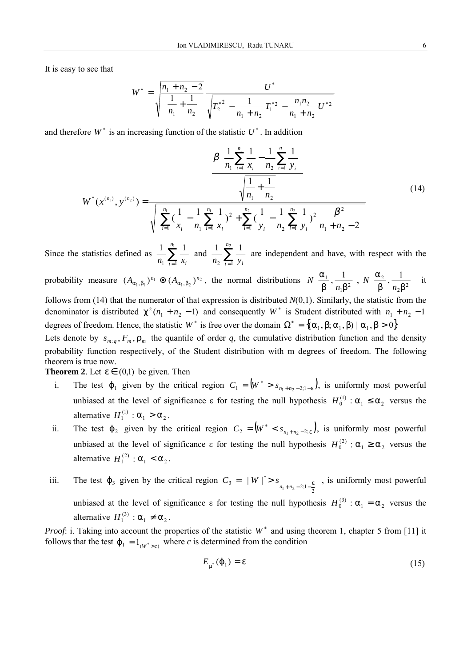It is easy to see that

$$
W^* = \sqrt{\frac{n_1 + n_2 - 2}{n_1 + \frac{1}{n_2}}} \frac{U^*}{\sqrt{T_2^{*2} - \frac{1}{n_1 + n_2} T_1^{*2} - \frac{n_1 n_2}{n_1 + n_2} U^{*2}}}
$$

and therefore  $W^*$  is an increasing function of the statistic  $U^*$ . In addition

$$
W^*(x^{(n_1)}, y^{(n_2)}) = \frac{\beta \left( \frac{1}{n_1} \sum_{i=1}^{n_1} \frac{1}{x_i} - \frac{1}{n_2} \sum_{i=1}^{n_2} \frac{1}{y_i} \right)}{\sqrt{\frac{1}{n_1} + \frac{1}{n_2}}}
$$
\n
$$
W^*(x^{(n_1)}, y^{(n_2)}) = \frac{\sqrt{\left[ \sum_{i=1}^{n_1} \left( \frac{1}{x_i} - \frac{1}{n_1} \sum_{i=1}^{n_1} \frac{1}{x_i} \right)^2 + \sum_{i=1}^{n_2} \left( \frac{1}{y_i} - \frac{1}{n_2} \sum_{i=1}^{n_2} \frac{1}{y_i} \right)^2 + \sum_{i=1}^{n_2} \left( \frac{1}{y_i} - \frac{1}{n_2} \sum_{i=1}^{n_2} \frac{1}{y_i} \right)^2 + \sum_{i=1}^{n_2} \left( \frac{1}{y_i} - \frac{1}{n_2} \sum_{i=1}^{n_2} \frac{1}{y_i} \right)^2 + \sum_{i=1}^{n_2} \left( \frac{1}{y_i} - \frac{1}{n_2} \sum_{i=1}^{n_2} \frac{1}{y_i} \right)^2 + \sum_{i=1}^{n_2} \left( \frac{1}{y_i} - \frac{1}{n_2} \sum_{i=1}^{n_2} \frac{1}{y_i} \right)^2 + \sum_{i=1}^{n_2} \left( \frac{1}{y_i} - \frac{1}{n_2} \sum_{i=1}^{n_2} \frac{1}{y_i} \right)^2 + \sum_{i=1}^{n_2} \left( \frac{1}{y_i} - \frac{1}{n_2} \sum_{i=1}^{n_2} \frac{1}{y_i} \right)^2 + \sum_{i=1}^{n_2} \left( \frac{1}{y_i} - \frac{1}{n_2} \sum_{i=1}^{n_2} \frac{1}{y_i} \right)^2 + \sum_{i=1}^{n_2} \left( \frac{1}{y_i} - \frac{1}{n_2} \sum_{i=1}^{n_2} \frac{1}{y_i} \right)^2 + \sum_{i=1}^{n_2} \left( \frac{1}{y_i} - \frac{1}{n_2} \sum_{
$$

Since the statistics defined as  $\frac{1}{n_1} \sum_{i=1}^{n_1}$  $1 \quad i = 1$  $1 \frac{n_1}{n_1} 1$  $\frac{1}{n_1} \sum_{i=1}^{n_1} \frac{1}{x_i}$  and  $\frac{1}{n_2} \sum_{i=1}^{n_2}$ 2  $i = 1$  $1 \frac{n_2}{n_1} 1$  $n_2$   $\sum_{i=1}^{r} y_i$ are independent and have, with respect with the

probability measure  $(A_{\alpha_1,\beta_1})^{n_1} \otimes (A_{\alpha_1,\beta_2})^{n_2}$ , the normal distributions  $N\left(\frac{\alpha_1}{\beta}, \frac{1}{n \beta^2}\right) N\left(\frac{\alpha_2}{\beta}, \frac{1}{n \beta^2}\right)$  $\bigg)$  $\left( \right)$  $\overline{\phantom{a}}$ l ſ  $β<sup>2</sup> n<sub>2</sub>β$ α  $\overline{\phantom{a}}$  $\lambda$  $\overline{\phantom{a}}$ l ſ  $β<sup>-</sup>n<sub>1</sub>β$ α  $2\beta^2$ 2  $\left\{ \frac{1}{\beta}, \frac{1}{n_1 \beta^2} \right\} N\left( \frac{\alpha_2}{\beta}, \frac{1}{n_2 \beta}\right)$ *n*  $N\left[\frac{a_1}{a},\frac{1}{a_2},\frac{1}{a_3}\right]$  *N*  $\left[\frac{a_2}{a},\frac{1}{a_2},\frac{1}{a_3}\right]$  it follows from (14) that the numerator of that expression is distributed *N*(0,1). Similarly, the statistic from the denominator is distributed  $\chi^2(n_1 + n_2 - 1)$  and consequently *W*<sup>\*</sup> is Student distributed with  $n_1 + n_2 - 1$ degrees of freedom. Hence, the statistic *W*<sup>\*</sup> is free over the domain  $\Omega^* = \{(\alpha_1, \beta; \alpha_1, \beta) | \alpha_1, \beta > 0\}$ 

Lets denote by  $s_{m,q}$ ,  $F_m$ ,  $\rho_m$  the quantile of order q, the cumulative distribution function and the density probability function respectively, of the Student distribution with m degrees of freedom. The following theorem is true now.

**Theorem 2**. Let  $\varepsilon \in (0,1)$  be given. Then

- i. The test  $\varphi_1$  given by the critical region  $C_1 = (W^* > s_{n_1+n_2-2,1-\epsilon})$ , is uniformly most powerful unbiased at the level of significance  $\varepsilon$  for testing the null hypothesis  $H_0^{(1)}$ :  $\alpha_1 \leq \alpha_2$  versus the alternative  $H_1^{(1)}$  :  $\alpha_1 > \alpha_2$ .
- ii. The test  $\varphi_2$  given by the critical region  $C_2 = (W^* < s_{n_1+n_2-2,\epsilon})$ , is uniformly most powerful unbiased at the level of significance  $\varepsilon$  for testing the null hypothesis  $H_0^{(2)}$ :  $\alpha_1 \ge \alpha_2$  versus the alternative  $H_1^{(2)}$  :  $\alpha_1 < \alpha_2$ .
- iii. The test  $\varphi_3$  given by the critical region  $C_3 = \left| \begin{array}{cc} W \end{array} \right|^* > s_{n_1+n_2-2;1-\frac{\epsilon}{2}}$  $\overline{\phantom{a}}$  $\overline{\phantom{a}}$ I I  $C_3 = \left( \mid W \mid^* > s \right)_{n_1+n_2-2;1-\frac{\epsilon}{2}}$ , is uniformly most powerful unbiased at the level of significance  $\varepsilon$  for testing the null hypothesis  $H_0^{(3)}$ :  $\alpha_1 = \alpha_2$  versus the alternative  $H_1^{(3)}$  :  $\alpha_1 \neq \alpha_2$ .

*Proof*: i. Taking into account the properties of the statistic  $W^*$  and using theorem 1, chapter 5 from [11] it follows that the test  $\varphi_1 = 1_{(W^*) \geq c}$  where *c* is determined from the condition

$$
E_{\mu^*}(\varphi_1) = \varepsilon \tag{15}
$$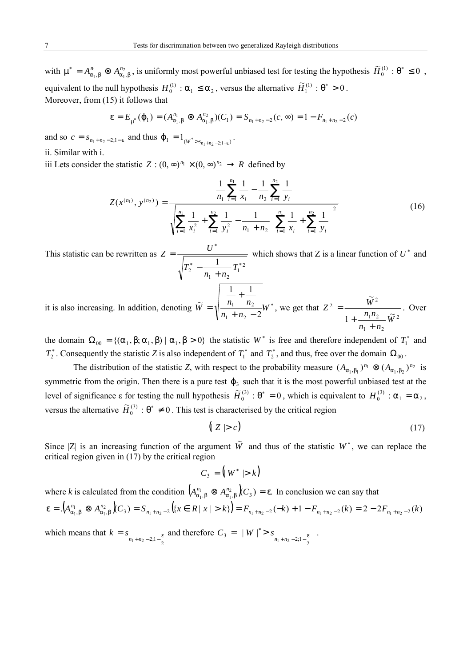with  $\mu^* = A_{\alpha_1,\beta}^{n_1} \otimes A_{\alpha_1}^{n_2}$  $\mu^* = A_{\alpha_1, \beta}^{n_1} \otimes A_{\alpha_1, \beta}^{n_2}$ , is uniformly most powerful unbiased test for testing the hypothesis  $\widetilde{H}_0^{(1)} : \theta^* \le 0$ , equivalent to the null hypothesis  $H_0^{(1)}$ :  $\alpha_1 \leq \alpha_2$ , versus the alternative  $\widetilde{H}_1^{(1)}$ :  $\theta^* > 0$ . Moreover, from (15) it follows that

$$
\varepsilon = E_{\mu^*}(\varphi_1) = (A_{\alpha_1,\beta}^{n_1} \otimes A_{\alpha_1,\beta}^{n_2})(C_1) = S_{n_1+n_2-2}(c, \infty) = 1 - F_{n_1+n_2-2}(c)
$$

and so  $c = s_{n_1 + n_2 - 2; 1 - \varepsilon}$  and thus  $\varphi_1 = 1_{(W^* > s_{n_1 + n_2 - 2; 1 - \varepsilon})}$ .

ii. Similar with i.

iii Lets consider the statistic  $Z : (0, \infty)^{n_1} \times (0, \infty)^{n_2} \rightarrow R$  defined by

$$
Z(x^{(n_1)}, y^{(n_2)}) = \frac{\frac{1}{n_1} \sum_{i=1}^{n_1} \frac{1}{x_i} - \frac{1}{n_2} \sum_{i=1}^{n_2} \frac{1}{y_i}}{\sqrt{\sum_{i=1}^{n_1} \frac{1}{x_i^2} + \sum_{i=1}^{n_2} \frac{1}{y_i^2} - \frac{1}{n_1 + n_2} \left(\sum_{i=1}^{n_1} \frac{1}{x_i} + \sum_{i=1}^{n_2} \frac{1}{y_i}\right)^2}}
$$
(16)

This statistic can be rewritten as  $T_2^*$  –  $T_1^*$ <sup>2</sup>  $1 + \mu_2$ \*  $\frac{1}{I}$  $n_1 + n$ *T*  $Z = \frac{U}{\sqrt{U}}$  $-\frac{1}{n_1 +}$  $=\frac{U}{\sqrt{U}}$  which shows that Z is a linear function of  $U^*$  and

it is also increasing. In addition, denoting  $\widetilde{W} = \sqrt{\frac{n_1 - n_2}{n_1}} W^*$  $_1$  +  $n_2$  $n_1$   $n_2$ 2 1 1  $\widetilde{V} = \sqrt{\frac{n_1 - n_2}{n_1}} W$  $n_1 + n$  $\widetilde{W} = \sqrt{\frac{n_1 - n_2}{n_1}}$  $+ n_2 -$ +  $=\sqrt{\frac{n_1}{n_1+n_2-2}}W^*$ , we get that  $Z^2 = \frac{W}{1+\frac{n_1n_2}{\sqrt{W^2}}}\frac{W^*}{W^2}$ .  $\approx$  $\frac{1}{2}$   $\frac{1}{W^2}$  $_1$  +  $n_2$ 2  $-\frac{\widetilde{W}^2}{2}$ *W*  $n_1 + n$  $Z^2 = \frac{W^2}{n_1 n_2}$ + +  $=$   $\frac{W}{W}$ . Over

the domain  $\Omega_{00} = \{(\alpha_1, \beta; \alpha_1, \beta) | \alpha_1, \beta > 0\}$  the statistic *W*<sup>\*</sup> is free and therefore independent of  $T_1^*$  and  $T_2^*$ . Consequently the statistic *Z* is also independent of  $T_1^*$  and  $T_2^*$ , and thus, free over the domain  $\Omega_{00}$ .

The distribution of the statistic *Z*, with respect to the probability measure  $(A_{\alpha_1,\beta_1})^{n_1} \otimes (A_{\alpha_1,\beta_2})^{n_2}$  is symmetric from the origin. Then there is a pure test  $\varphi_3$  such that it is the most powerful unbiased test at the level of significance  $\varepsilon$  for testing the null hypothesis  $\widetilde{H}_0^{(3)}$ :  $\theta^* = 0$ , which is equivalent to  $H_0^{(3)}$ :  $\alpha_1 = \alpha_2$ , versus the alternative  $\widetilde{H}_0^{(3)}$ :  $\theta^* \neq 0$ . This test is characterised by the critical region

$$
\left(|Z| > c\right) \tag{17}
$$

Since |Z| is an increasing function of the argument  $\tilde{W}$  and thus of the statistic  $W^*$ , we can replace the critical region given in (17) by the critical region

$$
C_3 = (W^* | > k)
$$

where *k* is calculated from the condition  $(A^{n_1}_{\alpha_1,\beta} \otimes A^{n_2}_{\alpha_1,\beta})C_3$  =  $\varepsilon$ .  $A^{n_1}_{\alpha_1,\beta} \otimes A^{n_2}_{\alpha_1,\beta}$   $\big\langle C_3 \big\rangle = \varepsilon$ . In conclusion we can say that  $\mathcal{A}^{n_1}_{\alpha_1,\beta} \otimes A^{n_2}_{\alpha_1,\beta}(C_3) = S_{n_1+n_2-2}(\{x \in R \mid x \mid > k\}) = F_{n_1+n_2-2}(-k) + 1 - F_{n_1+n_2-2}(k) = 2 - 2F_{n_1+n_2-2}(k)$ 1  $\epsilon = \left(A_{\alpha_1,\beta}^{n_1} \otimes A_{\alpha_1,\beta}^{n_2}\right)(C_3) = S_{n_1+n_2-2}\left(\left\{x \in R \mid x \mid > k\right\}\right) = F_{n_1+n_2-2}(-k) + 1 - F_{n_1+n_2-2}(k) = 2 - 2F_{n_1+n_2-2}(k)$ which means that  $k = s$ <br> $n_1 + n_2 - 2; 1 - \frac{\varepsilon}{2}$  and therefore  $C_3 = \left( |W|^{*} > s \right)$ <br> $n_1 + n_2 - 2; 1 - \frac{\varepsilon}{2}$  $\overline{\phantom{a}}$  $\lambda$ I I  $C_3 = \left( \mid W \mid^* > s \right._{n_1 + n_2 - 2; 1 - \frac{\varepsilon}{2}} \right).$